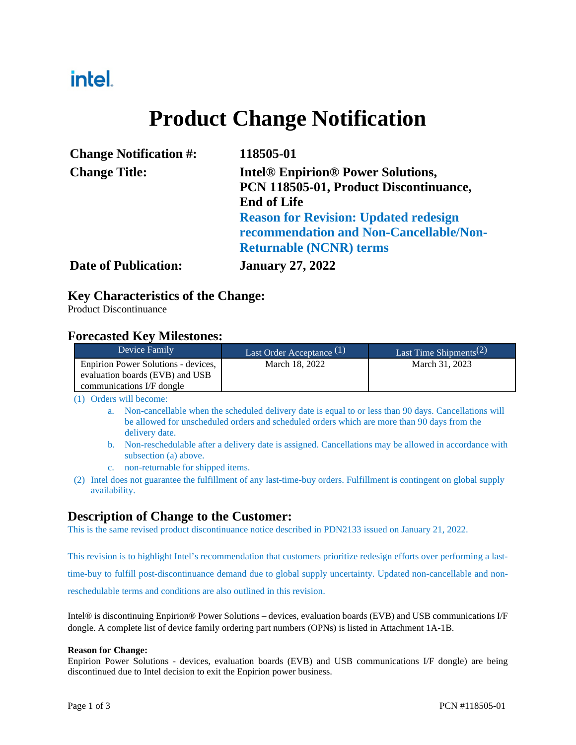## intel.

# **Product Change Notification**

| <b>Change Notification #:</b> | 118505-01                                                                                                |  |
|-------------------------------|----------------------------------------------------------------------------------------------------------|--|
| <b>Change Title:</b>          | <b>Intel<sup>®</sup> Enpirion<sup>®</sup> Power Solutions,</b><br>PCN 118505-01, Product Discontinuance, |  |
|                               | <b>End of Life</b>                                                                                       |  |
|                               | <b>Reason for Revision: Updated redesign</b><br>recommendation and Non-Cancellable/Non-                  |  |
|                               | <b>Returnable (NCNR) terms</b>                                                                           |  |
| <b>Date of Publication:</b>   | <b>January 27, 2022</b>                                                                                  |  |

### **Key Characteristics of the Change:**

Product Discontinuance

### **Forecasted Key Milestones:**

| Device Family                                                                                       | Last Order Acceptance $(1)$ | Last Time Shipments <sup>(2)</sup> |
|-----------------------------------------------------------------------------------------------------|-----------------------------|------------------------------------|
| Enpirion Power Solutions - devices,<br>evaluation boards (EVB) and USB<br>communications I/F dongle | March 18, 2022              | March 31, 2023                     |

(1) Orders will become:

- a. Non-cancellable when the scheduled delivery date is equal to or less than 90 days. Cancellations will be allowed for unscheduled orders and scheduled orders which are more than 90 days from the delivery date.
- b. Non-reschedulable after a delivery date is assigned. Cancellations may be allowed in accordance with subsection (a) above.
- c. non-returnable for shipped items.
- (2) Intel does not guarantee the fulfillment of any last-time-buy orders. Fulfillment is contingent on global supply availability.

## **Description of Change to the Customer:**

This is the same revised product discontinuance notice described in PDN2133 issued on January 21, 2022.

This revision is to highlight Intel's recommendation that customers prioritize redesign efforts over performing a lasttime-buy to fulfill post-discontinuance demand due to global supply uncertainty. Updated non-cancellable and nonreschedulable terms and conditions are also outlined in this revision.

Intel® is discontinuing Enpirion® Power Solutions – devices, evaluation boards (EVB) and USB communications I/F dongle. A complete list of device family ordering part numbers (OPNs) is listed in Attachment 1A-1B.

#### **Reason for Change:**

Enpirion Power Solutions - devices, evaluation boards (EVB) and USB communications I/F dongle) are being discontinued due to Intel decision to exit the Enpirion power business.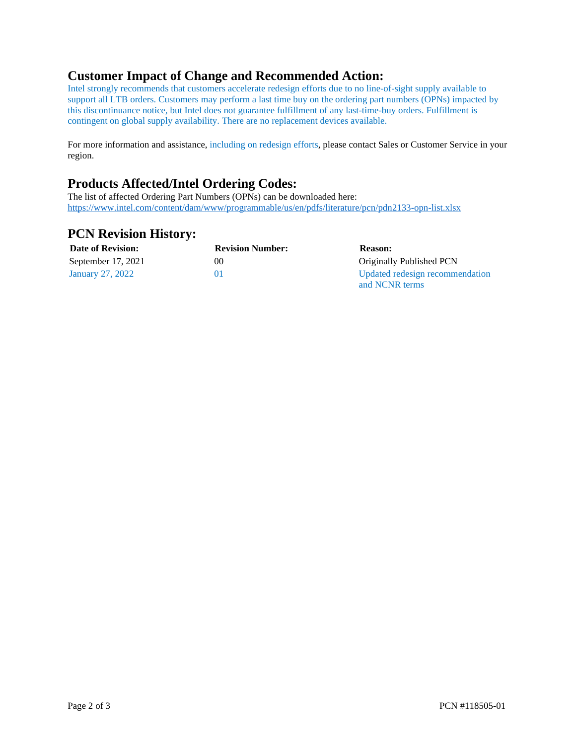## **Customer Impact of Change and Recommended Action:**

Intel strongly recommends that customers accelerate redesign efforts due to no line-of-sight supply available to support all LTB orders. Customers may perform a last time buy on the ordering part numbers (OPNs) impacted by this discontinuance notice, but Intel does not guarantee fulfillment of any last-time-buy orders. Fulfillment is contingent on global supply availability. There are no replacement devices available.

For more information and assistance, including on redesign efforts, please contact Sales or Customer Service in your region.

### **Products Affected/Intel Ordering Codes:**

The list of affected Ordering Part Numbers (OPNs) can be downloaded here: <https://www.intel.com/content/dam/www/programmable/us/en/pdfs/literature/pcn/pdn2133-opn-list.xlsx>

#### **PCN Revision History:**

| <b>Date of Revision:</b> | <b>Revision Number:</b> | <b>Reason:</b>                  |
|--------------------------|-------------------------|---------------------------------|
| September 17, 2021       | 00                      | Originally Published PCN        |
| January 27, 2022         | $_{01}$                 | Updated redesign recommendation |
|                          |                         | and NCNR terms                  |